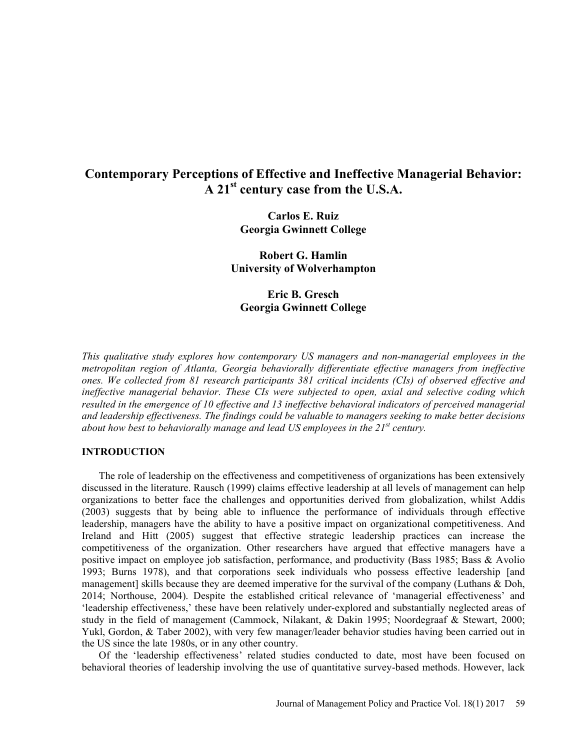# Contemporary Perceptions of Effective and Ineffective Managerial Behavior:  $A$  21<sup>st</sup> century case from the U.S.A.

Carlos E. Ruiz Georgia Gwinnett College

Robert G. Hamlin University of Wolverhampton

Eric B. Gresch Georgia Gwinnett College

This qualitative study explores how contemporary US managers and non-managerial employees in the metropolitan region of Atlanta, Georgia behaviorally differentiate effective managers from ineffective ones. We collected from 81 research participants 381 critical incidents (CIs) of observed effective and ineffective managerial behavior. These CIs were subjected to open, axial and selective coding which resulted in the emergence of 10 effective and 13 ineffective behavioral indicators of perceived managerial and leadership effectiveness. The findings could be valuable to managers seeking to make better decisions about how best to behaviorally manage and lead US employees in the  $21^{st}$  century.

#### INTRODUCTION

The role of leadership on the effectiveness and competitiveness of organizations has been extensively discussed in the literature. Rausch (1999) claims effective leadership at all levels of management can help organizations to better face the challenges and opportunities derived from globalization, whilst Addis (2003) suggests that by being able to influence the performance of individuals through effective leadership, managers have the ability to have a positive impact on organizational competitiveness. And Ireland and Hitt (2005) suggest that effective strategic leadership practices can increase the competitiveness of the organization. Other researchers have argued that effective managers have a positive impact on employee job satisfaction, performance, and productivity (Bass 1985; Bass & Avolio 1993; Burns 1978), and that corporations seek individuals who possess effective leadership [and management] skills because they are deemed imperative for the survival of the company (Luthans & Doh, 2014; Northouse, 2004). Despite the established critical relevance of managerial effectiveness and leadership effectiveness, these have been relatively under-explored and substantially neglected areas of study in the field of management (Cammock, Nilakant, & Dakin 1995; Noordegraaf & Stewart, 2000; Yukl, Gordon, & Taber 2002), with very few manager/leader behavior studies having been carried out in the US since the late 1980s, or in any other country.

Of the 'leadership effectiveness' related studies conducted to date, most have been focused on behavioral theories of leadership involving the use of quantitative survey-based methods. However, lack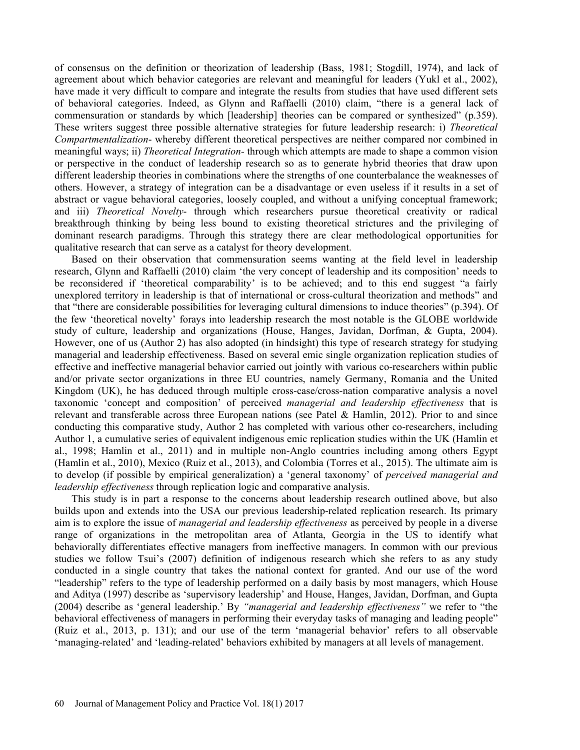of consensus on the definition or theorization of leadership (Bass, 1981; Stogdill, 1974), and lack of agreement about which behavior categories are relevant and meaningful for leaders (Yukl et al., 2002), have made it very difficult to compare and integrate the results from studies that have used different sets of behavioral categories. Indeed, as Glynn and Raffaelli (2010) claim, there is a general lack of commensuration or standards by which [leadership] theories can be compared or synthesized" (p.359). These writers suggest three possible alternative strategies for future leadership research: i) Theoretical Compartmentalization- whereby different theoretical perspectives are neither compared nor combined in meaningful ways; ii) Theoretical Integration- through which attempts are made to shape a common vision or perspective in the conduct of leadership research so as to generate hybrid theories that draw upon different leadership theories in combinations where the strengths of one counterbalance the weaknesses of others. However, a strategy of integration can be a disadvantage or even useless if it results in a set of abstract or vague behavioral categories, loosely coupled, and without a unifying conceptual framework; and iii) Theoretical Novelty- through which researchers pursue theoretical creativity or radical breakthrough thinking by being less bound to existing theoretical strictures and the privileging of dominant research paradigms. Through this strategy there are clear methodological opportunities for qualitative research that can serve as a catalyst for theory development.

Based on their observation that commensuration seems wanting at the field level in leadership research, Glynn and Raffaelli (2010) claim 'the very concept of leadership and its composition' needs to be reconsidered if 'theoretical comparability' is to be achieved; and to this end suggest "a fairly unexplored territory in leadership is that of international or cross-cultural theorization and methods" and that "there are considerable possibilities for leveraging cultural dimensions to induce theories" (p.394). Of the few theoretical novelty forays into leadership research the most notable is the GLOBE worldwide study of culture, leadership and organizations (House, Hanges, Javidan, Dorfman, & Gupta, 2004). However, one of us (Author 2) has also adopted (in hindsight) this type of research strategy for studying managerial and leadership effectiveness. Based on several emic single organization replication studies of effective and ineffective managerial behavior carried out jointly with various co-researchers within public and/or private sector organizations in three EU countries, namely Germany, Romania and the United Kingdom (UK), he has deduced through multiple cross-case/cross-nation comparative analysis a novel taxonomic 'concept and composition' of perceived managerial and leadership effectiveness that is relevant and transferable across three European nations (see Patel & Hamlin, 2012). Prior to and since conducting this comparative study, Author 2 has completed with various other co-researchers, including Author 1, a cumulative series of equivalent indigenous emic replication studies within the UK (Hamlin et al., 1998; Hamlin et al., 2011) and in multiple non-Anglo countries including among others Egypt (Hamlin et al., 2010), Mexico (Ruiz et al., 2013), and Colombia (Torres et al., 2015). The ultimate aim is to develop (if possible by empirical generalization) a 'general taxonomy' of *perceived managerial and* leadership effectiveness through replication logic and comparative analysis.

This study is in part a response to the concerns about leadership research outlined above, but also builds upon and extends into the USA our previous leadership-related replication research. Its primary aim is to explore the issue of *managerial and leadership effectiveness* as perceived by people in a diverse range of organizations in the metropolitan area of Atlanta, Georgia in the US to identify what behaviorally differentiates effective managers from ineffective managers. In common with our previous studies we follow Tsui's (2007) definition of indigenous research which she refers to as any study conducted in a single country that takes the national context for granted. And our use of the word "leadership" refers to the type of leadership performed on a daily basis by most managers, which House and Aditya (1997) describe as 'supervisory leadership' and House, Hanges, Javidan, Dorfman, and Gupta  $(2004)$  describe as 'general leadership.' By "managerial and leadership effectiveness" we refer to "the behavioral effectiveness of managers in performing their everyday tasks of managing and leading people (Ruiz et al., 2013, p. 131); and our use of the term 'managerial behavior' refers to all observable 'managing-related' and 'leading-related' behaviors exhibited by managers at all levels of management.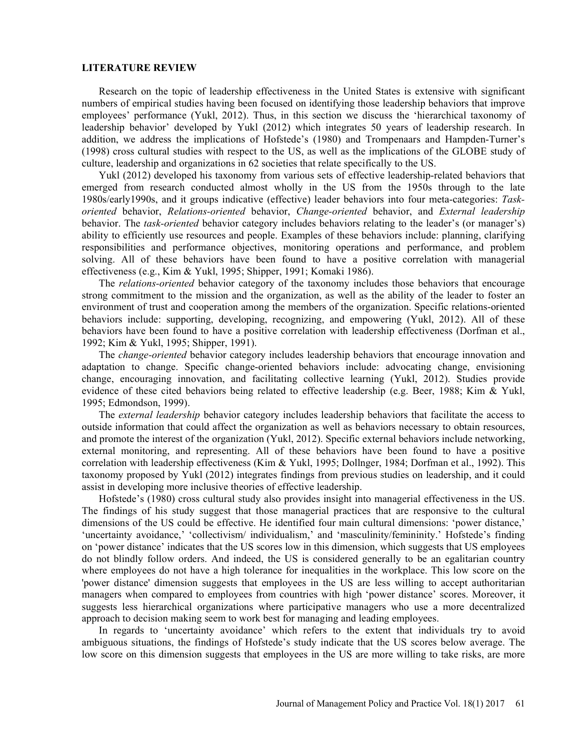#### LITERATURE REVIEW

Research on the topic of leadership effectiveness in the United States is extensive with significant numbers of empirical studies having been focused on identifying those leadership behaviors that improve employees' performance (Yukl, 2012). Thus, in this section we discuss the 'hierarchical taxonomy of leadership behavior' developed by Yukl (2012) which integrates 50 years of leadership research. In addition, we address the implications of Hofstede's (1980) and Trompenaars and Hampden-Turner's (1998) cross cultural studies with respect to the US, as well as the implications of the GLOBE study of culture, leadership and organizations in 62 societies that relate specifically to the US.

Yukl (2012) developed his taxonomy from various sets of effective leadership-related behaviors that emerged from research conducted almost wholly in the US from the 1950s through to the late 1980s/early1990s, and it groups indicative (effective) leader behaviors into four meta-categories: Taskoriented behavior, Relations-oriented behavior, Change-oriented behavior, and External leadership behavior. The task-oriented behavior category includes behaviors relating to the leader's (or manager's) ability to efficiently use resources and people. Examples of these behaviors include: planning, clarifying responsibilities and performance objectives, monitoring operations and performance, and problem solving. All of these behaviors have been found to have a positive correlation with managerial effectiveness (e.g., Kim & Yukl, 1995; Shipper, 1991; Komaki 1986).

The *relations-oriented* behavior category of the taxonomy includes those behaviors that encourage strong commitment to the mission and the organization, as well as the ability of the leader to foster an environment of trust and cooperation among the members of the organization. Specific relations-oriented behaviors include: supporting, developing, recognizing, and empowering (Yukl, 2012). All of these behaviors have been found to have a positive correlation with leadership effectiveness (Dorfman et al., 1992; Kim & Yukl, 1995; Shipper, 1991).

The *change-oriented* behavior category includes leadership behaviors that encourage innovation and adaptation to change. Specific change-oriented behaviors include: advocating change, envisioning change, encouraging innovation, and facilitating collective learning (Yukl, 2012). Studies provide evidence of these cited behaviors being related to effective leadership (e.g. Beer, 1988; Kim & Yukl, 1995; Edmondson, 1999).

The *external leadership* behavior category includes leadership behaviors that facilitate the access to outside information that could affect the organization as well as behaviors necessary to obtain resources, and promote the interest of the organization (Yukl, 2012). Specific external behaviors include networking, external monitoring, and representing. All of these behaviors have been found to have a positive correlation with leadership effectiveness (Kim & Yukl, 1995; Dollnger, 1984; Dorfman et al., 1992). This taxonomy proposed by Yukl (2012) integrates findings from previous studies on leadership, and it could assist in developing more inclusive theories of effective leadership.

Hofstede's (1980) cross cultural study also provides insight into managerial effectiveness in the US. The findings of his study suggest that those managerial practices that are responsive to the cultural dimensions of the US could be effective. He identified four main cultural dimensions: 'power distance.' 'uncertainty avoidance,' 'collectivism/ individualism,' and 'masculinity/femininity.' Hofstede's finding on 'power distance' indicates that the US scores low in this dimension, which suggests that US employees do not blindly follow orders. And indeed, the US is considered generally to be an egalitarian country where employees do not have a high tolerance for inequalities in the workplace. This low score on the 'power distance' dimension suggests that employees in the US are less willing to accept authoritarian managers when compared to employees from countries with high 'power distance' scores. Moreover, it suggests less hierarchical organizations where participative managers who use a more decentralized approach to decision making seem to work best for managing and leading employees.

In regards to 'uncertainty avoidance' which refers to the extent that individuals try to avoid ambiguous situations, the findings of Hofstede's study indicate that the US scores below average. The low score on this dimension suggests that employees in the US are more willing to take risks, are more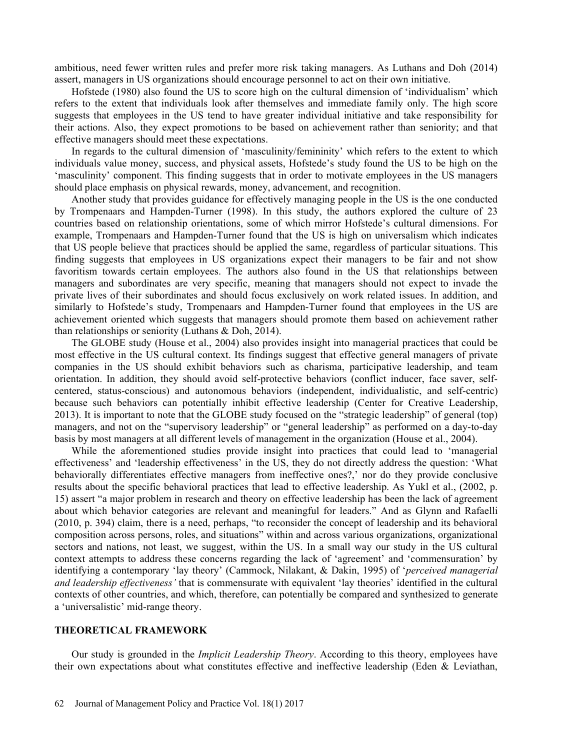ambitious, need fewer written rules and prefer more risk taking managers. As Luthans and Doh (2014) assert, managers in US organizations should encourage personnel to act on their own initiative.

Hofstede (1980) also found the US to score high on the cultural dimension of 'individualism' which refers to the extent that individuals look after themselves and immediate family only. The high score suggests that employees in the US tend to have greater individual initiative and take responsibility for their actions. Also, they expect promotions to be based on achievement rather than seniority; and that effective managers should meet these expectations.

In regards to the cultural dimension of 'masculinity/femininity' which refers to the extent to which individuals value money, success, and physical assets, Hofstede's study found the US to be high on the masculinity component. This finding suggests that in order to motivate employees in the US managers should place emphasis on physical rewards, money, advancement, and recognition.

Another study that provides guidance for effectively managing people in the US is the one conducted by Trompenaars and Hampden-Turner (1998). In this study, the authors explored the culture of 23 countries based on relationship orientations, some of which mirror Hofstede's cultural dimensions. For example, Trompenaars and Hampden-Turner found that the US is high on universalism which indicates that US people believe that practices should be applied the same, regardless of particular situations. This finding suggests that employees in US organizations expect their managers to be fair and not show favoritism towards certain employees. The authors also found in the US that relationships between managers and subordinates are very specific, meaning that managers should not expect to invade the private lives of their subordinates and should focus exclusively on work related issues. In addition, and similarly to Hofstede's study, Trompenaars and Hampden-Turner found that employees in the US are achievement oriented which suggests that managers should promote them based on achievement rather than relationships or seniority (Luthans & Doh, 2014).

The GLOBE study (House et al., 2004) also provides insight into managerial practices that could be most effective in the US cultural context. Its findings suggest that effective general managers of private companies in the US should exhibit behaviors such as charisma, participative leadership, and team orientation. In addition, they should avoid self-protective behaviors (conflict inducer, face saver, selfcentered, status-conscious) and autonomous behaviors (independent, individualistic, and self-centric) because such behaviors can potentially inhibit effective leadership (Center for Creative Leadership,  $2013$ ). It is important to note that the GLOBE study focused on the "strategic leadership" of general (top) managers, and not on the "supervisory leadership" or "general leadership" as performed on a day-to-day basis by most managers at all different levels of management in the organization (House et al., 2004).

While the aforementioned studies provide insight into practices that could lead to 'managerial effectiveness' and 'leadership effectiveness' in the US, they do not directly address the question: 'What behaviorally differentiates effective managers from ineffective ones?,' nor do they provide conclusive results about the specific behavioral practices that lead to effective leadership. As Yukl et al., (2002, p. 15) assert "a major problem in research and theory on effective leadership has been the lack of agreement about which behavior categories are relevant and meaningful for leaders." And as Glynn and Rafaelli (2010, p. 394) claim, there is a need, perhaps, "to reconsider the concept of leadership and its behavioral composition across persons, roles, and situations" within and across various organizations, organizational sectors and nations, not least, we suggest, within the US. In a small way our study in the US cultural context attempts to address these concerns regarding the lack of 'agreement' and 'commensuration' by identifying a contemporary 'lay theory' (Cammock, Nilakant, & Dakin, 1995) of '*perceived managerial* and leadership effectiveness' that is commensurate with equivalent 'lay theories' identified in the cultural contexts of other countries, and which, therefore, can potentially be compared and synthesized to generate a 'universalistic' mid-range theory.

#### THEORETICAL FRAMEWORK

Our study is grounded in the *Implicit Leadership Theory*. According to this theory, employees have their own expectations about what constitutes effective and ineffective leadership (Eden & Leviathan,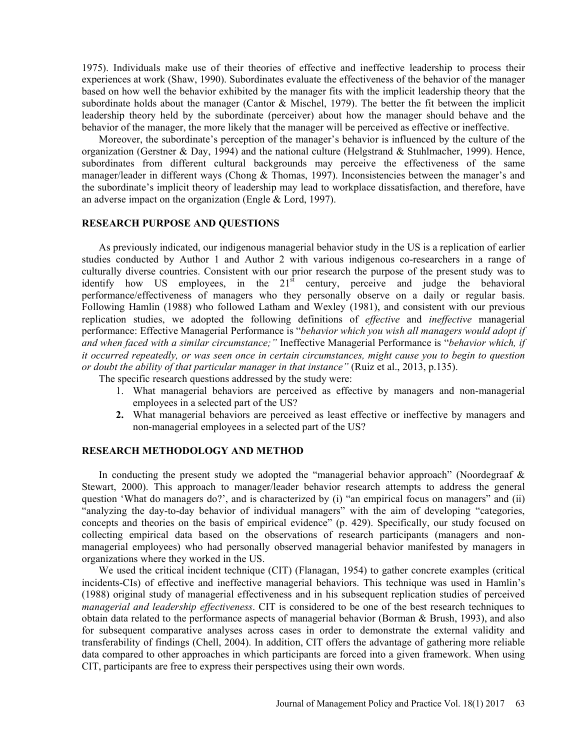1975). Individuals make use of their theories of effective and ineffective leadership to process their experiences at work (Shaw, 1990). Subordinates evaluate the effectiveness of the behavior of the manager based on how well the behavior exhibited by the manager fits with the implicit leadership theory that the subordinate holds about the manager (Cantor & Mischel, 1979). The better the fit between the implicit leadership theory held by the subordinate (perceiver) about how the manager should behave and the behavior of the manager, the more likely that the manager will be perceived as effective or ineffective.

Moreover, the subordinate's perception of the manager's behavior is influenced by the culture of the organization (Gerstner & Day, 1994) and the national culture (Helgstrand & Stuhlmacher, 1999). Hence, subordinates from different cultural backgrounds may perceive the effectiveness of the same manager/leader in different ways (Chong  $\&$  Thomas, 1997). Inconsistencies between the manager's and the subordinate's implicit theory of leadership may lead to workplace dissatisfaction, and therefore, have an adverse impact on the organization (Engle & Lord, 1997). RESEARCH PURPOSE AND QUESTIONS

As previously indicated, our indigenous managerial behavior study in the US is a replication of earlier studies conducted by Author 1 and Author 2 with various indigenous co-researchers in a range of culturally diverse countries. Consistent with our prior research the purpose of the present study was to identify how US employees, in the  $21<sup>st</sup>$  century, perceive and judge the behavioral performance/effectiveness of managers who they personally observe on a daily or regular basis. Following Hamlin (1988) who followed Latham and Wexley (1981), and consistent with our previous replication studies, we adopted the following definitions of effective and ineffective managerial performance: Effective Managerial Performance is "behavior which you wish all managers would adopt if and when faced with a similar circumstance;" Ineffective Managerial Performance is "behavior which, if it occurred repeatedly, or was seen once in certain circumstances, might cause you to begin to question or doubt the ability of that particular manager in that instance" (Ruiz et al., 2013, p.135).

The specific research questions addressed by the study were:

- 1. What managerial behaviors are perceived as effective by managers and non-managerial employees in a selected part of the US?
- 2. What managerial behaviors are perceived as least effective or ineffective by managers and non-managerial employees in a selected part of the US?

# RESEARCH METHODOLOGY AND METHOD

In conducting the present study we adopted the "managerial behavior approach" (Noordegraaf  $\&$ Stewart, 2000). This approach to manager/leader behavior research attempts to address the general question 'What do managers do?', and is characterized by (i) "an empirical focus on managers" and (ii) "analyzing the day-to-day behavior of individual managers" with the aim of developing "categories, concepts and theories on the basis of empirical evidence" (p. 429). Specifically, our study focused on collecting empirical data based on the observations of research participants (managers and nonmanagerial employees) who had personally observed managerial behavior manifested by managers in organizations where they worked in the US.

We used the critical incident technique (CIT) (Flanagan, 1954) to gather concrete examples (critical incidents-CIs) of effective and ineffective managerial behaviors. This technique was used in Hamlin's (1988) original study of managerial effectiveness and in his subsequent replication studies of perceived managerial and leadership effectiveness. CIT is considered to be one of the best research techniques to obtain data related to the performance aspects of managerial behavior (Borman & Brush, 1993), and also for subsequent comparative analyses across cases in order to demonstrate the external validity and transferability of findings (Chell, 2004). In addition, CIT offers the advantage of gathering more reliable data compared to other approaches in which participants are forced into a given framework. When using CIT, participants are free to express their perspectives using their own words.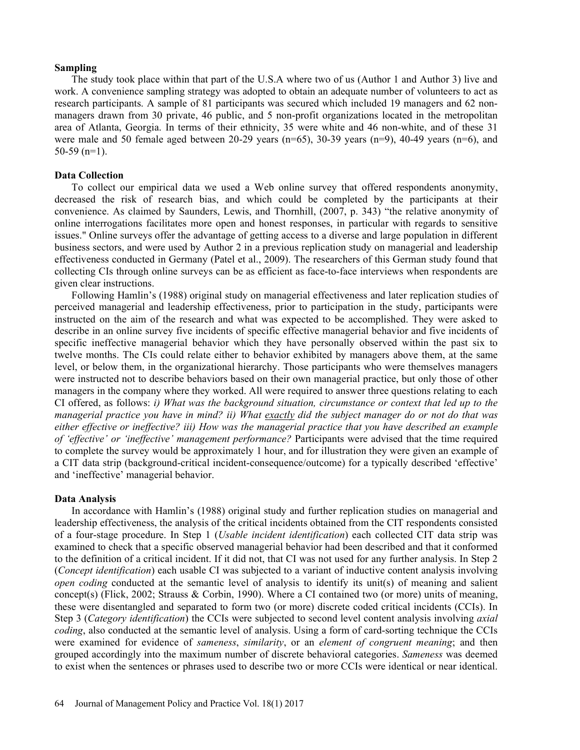#### Sampling

The study took place within that part of the U.S.A where two of us (Author 1 and Author 3) live and work. A convenience sampling strategy was adopted to obtain an adequate number of volunteers to act as research participants. A sample of 81 participants was secured which included 19 managers and 62 nonmanagers drawn from 30 private, 46 public, and 5 non-profit organizations located in the metropolitan area of Atlanta, Georgia. In terms of their ethnicity, 35 were white and 46 non-white, and of these 31 were male and 50 female aged between 20-29 years  $(n=65)$ , 30-39 years  $(n=9)$ , 40-49 years  $(n=6)$ , and  $50-59$  (n=1).

#### Data Collection

To collect our empirical data we used a Web online survey that offered respondents anonymity, decreased the risk of research bias, and which could be completed by the participants at their convenience. As claimed by Saunders, Lewis, and Thornhill, (2007, p. 343) "the relative anonymity of online interrogations facilitates more open and honest responses, in particular with regards to sensitive issues." Online surveys offer the advantage of getting access to a diverse and large population in different business sectors, and were used by Author 2 in a previous replication study on managerial and leadership effectiveness conducted in Germany (Patel et al., 2009). The researchers of this German study found that collecting CIs through online surveys can be as efficient as face-to-face interviews when respondents are given clear instructions.

Following Hamlin's (1988) original study on managerial effectiveness and later replication studies of perceived managerial and leadership effectiveness, prior to participation in the study, participants were instructed on the aim of the research and what was expected to be accomplished. They were asked to describe in an online survey five incidents of specific effective managerial behavior and five incidents of specific ineffective managerial behavior which they have personally observed within the past six to twelve months. The CIs could relate either to behavior exhibited by managers above them, at the same level, or below them, in the organizational hierarchy. Those participants who were themselves managers were instructed not to describe behaviors based on their own managerial practice, but only those of other managers in the company where they worked. All were required to answer three questions relating to each CI offered, as follows: i) What was the background situation, circumstance or context that led up to the managerial practice you have in mind? ii) What exactly did the subject manager do or not do that was either effective or ineffective? iii) How was the managerial practice that you have described an example of 'effective' or 'ineffective' management performance? Participants were advised that the time required to complete the survey would be approximately 1 hour, and for illustration they were given an example of a CIT data strip (background-critical incident-consequence/outcome) for a typically described 'effective' and 'ineffective' managerial behavior.

#### Data Analysis

In accordance with Hamlin's (1988) original study and further replication studies on managerial and leadership effectiveness, the analysis of the critical incidents obtained from the CIT respondents consisted of a four-stage procedure. In Step 1 (Usable incident identification) each collected CIT data strip was examined to check that a specific observed managerial behavior had been described and that it conformed to the definition of a critical incident. If it did not, that CI was not used for any further analysis. In Step 2 (Concept identification) each usable CI was subjected to a variant of inductive content analysis involving open coding conducted at the semantic level of analysis to identify its unit(s) of meaning and salient concept(s) (Flick, 2002; Strauss & Corbin, 1990). Where a CI contained two (or more) units of meaning, these were disentangled and separated to form two (or more) discrete coded critical incidents (CCIs). In Step 3 (Category identification) the CCIs were subjected to second level content analysis involving axial coding, also conducted at the semantic level of analysis. Using a form of card-sorting technique the CCIs were examined for evidence of *sameness*, *similarity*, or an *element of congruent meaning*; and then grouped accordingly into the maximum number of discrete behavioral categories. Sameness was deemed to exist when the sentences or phrases used to describe two or more CCIs were identical or near identical.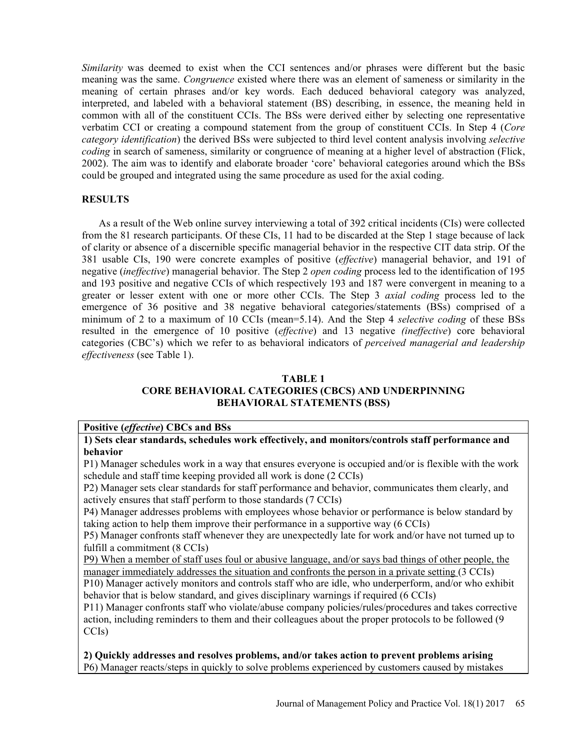Similarity was deemed to exist when the CCI sentences and/or phrases were different but the basic meaning was the same. Congruence existed where there was an element of sameness or similarity in the meaning of certain phrases and/or key words. Each deduced behavioral category was analyzed, interpreted, and labeled with a behavioral statement (BS) describing, in essence, the meaning held in common with all of the constituent CCIs. The BSs were derived either by selecting one representative verbatim CCI or creating a compound statement from the group of constituent CCIs. In Step 4 (Core category identification) the derived BSs were subjected to third level content analysis involving selective coding in search of sameness, similarity or congruence of meaning at a higher level of abstraction (Flick, 2002). The aim was to identify and elaborate broader 'core' behavioral categories around which the BSs could be grouped and integrated using the same procedure as used for the axial coding.

#### **RESULTS**

As a result of the Web online survey interviewing a total of 392 critical incidents (CIs) were collected from the 81 research participants. Of these CIs, 11 had to be discarded at the Step 1 stage because of lack of clarity or absence of a discernible specific managerial behavior in the respective CIT data strip. Of the 381 usable CIs, 190 were concrete examples of positive (effective) managerial behavior, and 191 of negative (ineffective) managerial behavior. The Step 2 open coding process led to the identification of 195 and 193 positive and negative CCIs of which respectively 193 and 187 were convergent in meaning to a greater or lesser extent with one or more other CCIs. The Step 3 axial coding process led to the emergence of 36 positive and 38 negative behavioral categories/statements (BSs) comprised of a minimum of 2 to a maximum of 10 CCIs (mean=5.14). And the Step 4 *selective coding* of these BSs resulted in the emergence of 10 positive (effective) and 13 negative (ineffective) core behavioral categories (CBC's) which we refer to as behavioral indicators of perceived managerial and leadership effectiveness (see Table 1).

#### TABLE 1 CORE BEHAVIORAL CATEGORIES (CBCS) AND UNDERPINNING BEHAVIORAL STATEMENTS (BSS)

#### Positive (effective) CBCs and BSs 1) Sets clear standards, schedules work effectively, and monitors/controls staff performance and behavior

P1) Manager schedules work in a way that ensures everyone is occupied and/or is flexible with the work schedule and staff time keeping provided all work is done (2 CCIs)

P2) Manager sets clear standards for staff performance and behavior, communicates them clearly, and actively ensures that staff perform to those standards (7 CCIs)

P4) Manager addresses problems with employees whose behavior or performance is below standard by taking action to help them improve their performance in a supportive way (6 CCIs)

P5) Manager confronts staff whenever they are unexpectedly late for work and/or have not turned up to fulfill a commitment (8 CCIs)

P9) When a member of staff uses foul or abusive language, and/or says bad things of other people, the manager immediately addresses the situation and confronts the person in a private setting (3 CCIs)

P10) Manager actively monitors and controls staff who are idle, who underperform, and/or who exhibit behavior that is below standard, and gives disciplinary warnings if required (6 CCIs)

P11) Manager confronts staff who violate/abuse company policies/rules/procedures and takes corrective action, including reminders to them and their colleagues about the proper protocols to be followed (9 CCIs)

2) Quickly addresses and resolves problems, and/or takes action to prevent problems arising P6) Manager reacts/steps in quickly to solve problems experienced by customers caused by mistakes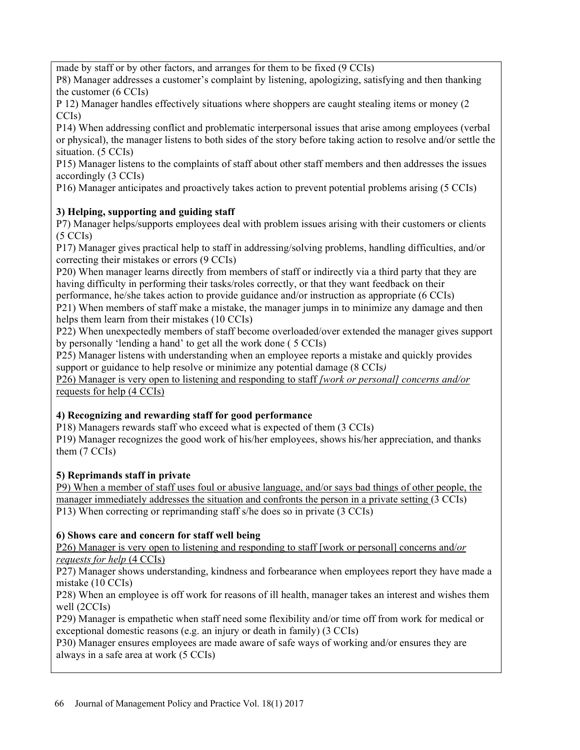made by staff or by other factors, and arranges for them to be fixed (9 CCIs)

P8) Manager addresses a customer's complaint by listening, apologizing, satisfying and then thanking the customer (6 CCIs)

P 12) Manager handles effectively situations where shoppers are caught stealing items or money (2 CCIs)

P14) When addressing conflict and problematic interpersonal issues that arise among employees (verbal or physical), the manager listens to both sides of the story before taking action to resolve and/or settle the situation. (5 CCIs)

P15) Manager listens to the complaints of staff about other staff members and then addresses the issues accordingly (3 CCIs)

P16) Manager anticipates and proactively takes action to prevent potential problems arising (5 CCIs)

# 3) Helping, supporting and guiding staff

P7) Manager helps/supports employees deal with problem issues arising with their customers or clients (5 CCIs)

P17) Manager gives practical help to staff in addressing/solving problems, handling difficulties, and/or correcting their mistakes or errors (9 CCIs)

P20) When manager learns directly from members of staff or indirectly via a third party that they are having difficulty in performing their tasks/roles correctly, or that they want feedback on their

performance, he/she takes action to provide guidance and/or instruction as appropriate (6 CCIs) P21) When members of staff make a mistake, the manager jumps in to minimize any damage and then helps them learn from their mistakes (10 CCIs)

P22) When unexpectedly members of staff become overloaded/over extended the manager gives support by personally 'lending a hand' to get all the work done (5 CCIs)

P25) Manager listens with understanding when an employee reports a mistake and quickly provides support or guidance to help resolve or minimize any potential damage (8 CCIs)

P26) Manager is very open to listening and responding to staff *[work or personal] concerns and/or* requests for help (4 CCIs)

# 4) Recognizing and rewarding staff for good performance

P18) Managers rewards staff who exceed what is expected of them (3 CCIs)

P19) Manager recognizes the good work of his/her employees, shows his/her appreciation, and thanks them (7 CCIs)

# 5) Reprimands staff in private

P9) When a member of staff uses foul or abusive language, and/or says bad things of other people, the manager immediately addresses the situation and confronts the person in a private setting (3 CCIs) P20) When manager leams directly from members of staff or indirectly via a third party that they are<br>performance, hexing difficulty in performing their tasks/oresect/sure or retail they want feedback on their<br>performance,

# 6) Shows care and concern for staff well being

P26) Manager is very open to listening and responding to staff [work or personal] concerns and/or requests for help (4 CCIs)

P27) Manager shows understanding, kindness and forbearance when employees report they have made a mistake (10 CCIs)

P28) When an employee is off work for reasons of ill health, manager takes an interest and wishes them well (2CCIs)

P29) Manager is empathetic when staff need some flexibility and/or time off from work for medical or exceptional domestic reasons (e.g. an injury or death in family) (3 CCIs)

P30) Manager ensures employees are made aware of safe ways of working and/or ensures they are always in a safe area at work (5 CCIs)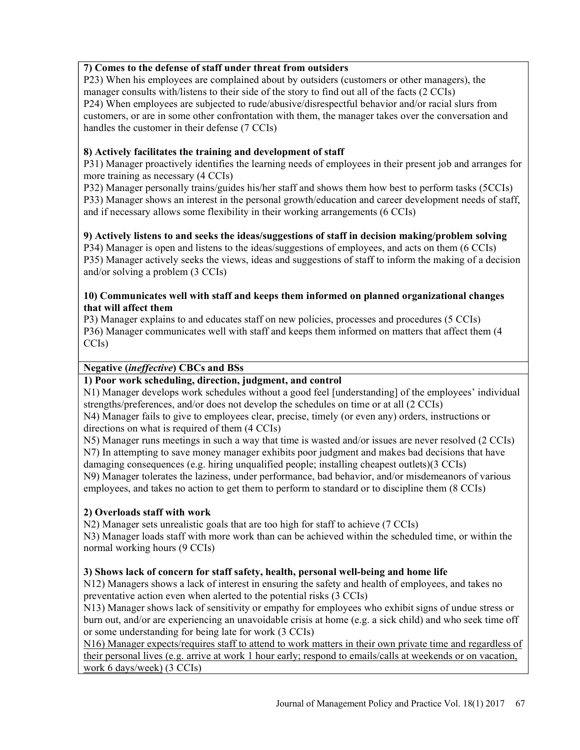# 7) Comes to the defense of staff under threat from outsiders

P23) When his employees are complained about by outsiders (customers or other managers), the manager consults with/listens to their side of the story to find out all of the facts (2 CCIs) P24) When employees are subjected to rude/abusive/disrespectful behavior and/or racial slurs from customers, or are in some other confrontation with them, the manager takes over the conversation and handles the customer in their defense (7 CCIs)

#### 8) Actively facilitates the training and development of staff

P31) Manager proactively identifies the learning needs of employees in their present job and arranges for more training as necessary (4 CCIs)

P32) Manager personally trains/guides his/her staff and shows them how best to perform tasks (5CCIs)

P33) Manager shows an interest in the personal growth/education and career development needs of staff, and if necessary allows some flexibility in their working arrangements (6 CCIs)

9) Actively listens to and seeks the ideas/suggestions of staff in decision making/problem solving P34) Manager is open and listens to the ideas/suggestions of employees, and acts on them (6 CCIs) P35) Manager actively seeks the views, ideas and suggestions of staff to inform the making of a decision and/or solving a problem (3 CCIs)

#### 10) Communicates well with staff and keeps them informed on planned organizational changes that will affect them

P3) Manager explains to and educates staff on new policies, processes and procedures (5 CCIs) P36) Manager communicates well with staff and keeps them informed on matters that affect them (4 CCIs)

#### Negative (ineffective) CBCs and BSs

# 1) Poor work scheduling, direction, judgment, and control

N1) Manager develops work schedules without a good feel [understanding] of the employees' individual strengths/preferences, and/or does not develop the schedules on time or at all (2 CCIs)

N4) Manager fails to give to employees clear, precise, timely (or even any) orders, instructions or directions on what is required of them (4 CCIs)

N5) Manager runs meetings in such a way that time is wasted and/or issues are never resolved (2 CCIs) N7) In attempting to save money manager exhibits poor judgment and makes bad decisions that have damaging consequences (e.g. hiring unqualified people; installing cheapest outlets)(3 CCIs)

N9) Manager tolerates the laziness, under performance, bad behavior, and/or misdemeanors of various employees, and takes no action to get them to perform to standard or to discipline them (8 CCIs)

# 2) Overloads staff with work

N2) Manager sets unrealistic goals that are too high for staff to achieve (7 CCIs) N3) Manager loads staff with more work than can be achieved within the scheduled time, or within the normal working hours (9 CCIs)

# 3) Shows lack of concern for staff safety, health, personal well-being and home life

N12) Managers shows a lack of interest in ensuring the safety and health of employees, and takes no preventative action even when alerted to the potential risks (3 CCIs)

N13) Manager shows lack of sensitivity or empathy for employees who exhibit signs of undue stress or burn out, and/or are experiencing an unavoidable crisis at home (e.g. a sick child) and who seek time off or some understanding for being late for work (3 CCIs)

N16) Manager expects/requires staff to attend to work matters in their own private time and regardless of their personal lives (e.g. arrive at work 1 hour early; respond to emails/calls at weekends or on vacation, work 6 days/week) (3 CCIs)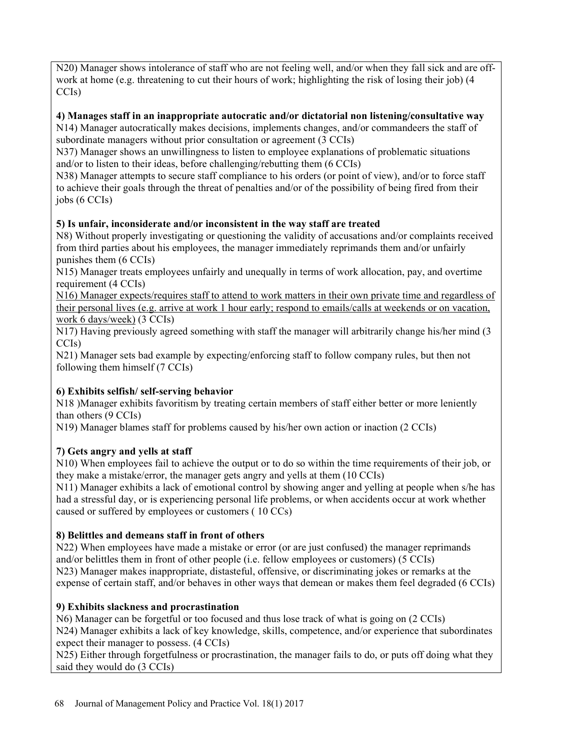N20) Manager shows intolerance of staff who are not feeling well, and/or when they fall sick and are offwork at home (e.g. threatening to cut their hours of work; highlighting the risk of losing their job) (4 CCIs)

# 4) Manages staff in an inappropriate autocratic and/or dictatorial non listening/consultative way

N14) Manager autocratically makes decisions, implements changes, and/or commandeers the staff of subordinate managers without prior consultation or agreement (3 CCIs)

N37) Manager shows an unwillingness to listen to employee explanations of problematic situations and/or to listen to their ideas, before challenging/rebutting them (6 CCIs)

N38) Manager attempts to secure staff compliance to his orders (or point of view), and/or to force staff to achieve their goals through the threat of penalties and/or of the possibility of being fired from their jobs (6 CCIs)

# 5) Is unfair, inconsiderate and/or inconsistent in the way staff are treated

N8) Without properly investigating or questioning the validity of accusations and/or complaints received from third parties about his employees, the manager immediately reprimands them and/or unfairly punishes them (6 CCIs)

N15) Manager treats employees unfairly and unequally in terms of work allocation, pay, and overtime requirement (4 CCIs)

N16) Manager expects/requires staff to attend to work matters in their own private time and regardless of their personal lives (e.g. arrive at work 1 hour early; respond to emails/calls at weekends or on vacation, work 6 days/week) (3 CCIs)

N17) Having previously agreed something with staff the manager will arbitrarily change his/her mind (3 CCIs)

N21) Manager sets bad example by expecting/enforcing staff to follow company rules, but then not following them himself (7 CCIs)

# 6) Exhibits selfish/ self-serving behavior

N18 )Manager exhibits favoritism by treating certain members of staff either better or more leniently than others (9 CCIs)

N19) Manager blames staff for problems caused by his/her own action or inaction (2 CCIs)

# 7) Gets angry and yells at staff

N10) When employees fail to achieve the output or to do so within the time requirements of their job, or they make a mistake/error, the manager gets angry and yells at them (10 CCIs)

N11) Manager exhibits a lack of emotional control by showing anger and yelling at people when s/he has had a stressful day, or is experiencing personal life problems, or when accidents occur at work whether caused or suffered by employees or customers ( 10 CCs)

# 8) Belittles and demeans staff in front of others

N22) When employees have made a mistake or error (or are just confused) the manager reprimands and/or belittles them in front of other people (i.e. fellow employees or customers) (5 CCIs) N23) Manager makes inappropriate, distasteful, offensive, or discriminating jokes or remarks at the expense of certain staff, and/or behaves in other ways that demean or makes them feel degraded (6 CCIs)

# 9) Exhibits slackness and procrastination

N6) Manager can be forgetful or too focused and thus lose track of what is going on (2 CCIs) N24) Manager exhibits a lack of key knowledge, skills, competence, and/or experience that subordinates expect their manager to possess. (4 CCIs)

N25) Either through forgetfulness or procrastination, the manager fails to do, or puts off doing what they said they would do (3 CCIs)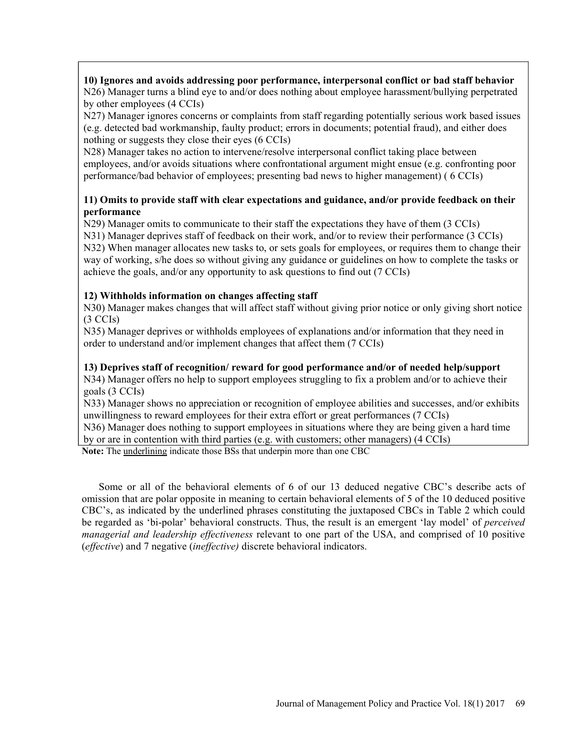10) Ignores and avoids addressing poor performance, interpersonal conflict or bad staff behavior N26) Manager turns a blind eye to and/or does nothing about employee harassment/bullying perpetrated by other employees (4 CCIs)

N27) Manager ignores concerns or complaints from staff regarding potentially serious work based issues (e.g. detected bad workmanship, faulty product; errors in documents; potential fraud), and either does nothing or suggests they close their eyes (6 CCIs)

N28) Manager takes no action to intervene/resolve interpersonal conflict taking place between employees, and/or avoids situations where confrontational argument might ensue (e.g. confronting poor performance/bad behavior of employees; presenting bad news to higher management) ( 6 CCIs)

# 11) Omits to provide staff with clear expectations and guidance, and/or provide feedback on their performance

N29) Manager omits to communicate to their staff the expectations they have of them (3 CCIs) N31) Manager deprives staff of feedback on their work, and/or to review their performance (3 CCIs) N32) When manager allocates new tasks to, or sets goals for employees, or requires them to change their

way of working, s/he does so without giving any guidance or guidelines on how to complete the tasks or achieve the goals, and/or any opportunity to ask questions to find out (7 CCIs)

# 12) Withholds information on changes affecting staff

N30) Manager makes changes that will affect staff without giving prior notice or only giving short notice (3 CCIs)

N35) Manager deprives or withholds employees of explanations and/or information that they need in order to understand and/or implement changes that affect them (7 CCIs)

# 13) Deprives staff of recognition/ reward for good performance and/or of needed help/support

N34) Manager offers no help to support employees struggling to fix a problem and/or to achieve their goals (3 CCIs)

N33) Manager shows no appreciation or recognition of employee abilities and successes, and/or exhibits unwillingness to reward employees for their extra effort or great performances (7 CCIs)

N36) Manager does nothing to support employees in situations where they are being given a hard time by or are in contention with third parties (e.g. with customers; other managers) (4 CCIs)

Note: The underlining indicate those BSs that underpin more than one CBC

Some or all of the behavioral elements of  $6$  of our 13 deduced negative CBC's describe acts of omission that are polar opposite in meaning to certain behavioral elements of 5 of the 10 deduced positive CBC's, as indicated by the underlined phrases constituting the juxtaposed CBCs in Table 2 which could be regarded as 'bi-polar' behavioral constructs. Thus, the result is an emergent 'lay model' of *perceived* managerial and leadership effectiveness relevant to one part of the USA, and comprised of 10 positive (effective) and 7 negative (ineffective) discrete behavioral indicators.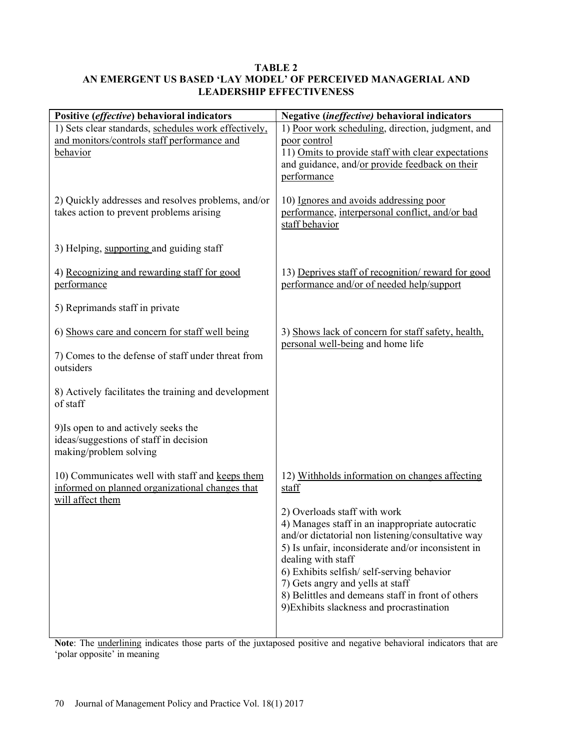# TABLE 2 AN EMERGENT US BASED 'LAY MODEL' OF PERCEIVED MANAGERIAL AND LEADERSHIP EFFECTIVENESS

| Positive (effective) behavioral indicators                                     | Negative (ineffective) behavioral indicators                                  |  |
|--------------------------------------------------------------------------------|-------------------------------------------------------------------------------|--|
| 1) Sets clear standards, schedules work effectively,                           | 1) Poor work scheduling, direction, judgment, and                             |  |
| and monitors/controls staff performance and                                    | poor control                                                                  |  |
| behavior                                                                       | 11) Omits to provide staff with clear expectations                            |  |
|                                                                                | and guidance, and/or provide feedback on their<br>performance                 |  |
|                                                                                |                                                                               |  |
| 2) Quickly addresses and resolves problems, and/or                             | 10) Ignores and avoids addressing poor                                        |  |
| takes action to prevent problems arising                                       | performance, interpersonal conflict, and/or bad                               |  |
|                                                                                | staff behavior                                                                |  |
| 3) Helping, supporting and guiding staff                                       |                                                                               |  |
| 4) Recognizing and rewarding staff for good                                    | 13) Deprives staff of recognition/ reward for good                            |  |
| performance                                                                    | performance and/or of needed help/support                                     |  |
|                                                                                |                                                                               |  |
| 5) Reprimands staff in private                                                 |                                                                               |  |
| 6) Shows care and concern for staff well being                                 | 3) Shows lack of concern for staff safety, health,                            |  |
|                                                                                | personal well-being and home life                                             |  |
| 7) Comes to the defense of staff under threat from                             |                                                                               |  |
| outsiders                                                                      |                                                                               |  |
| 8) Actively facilitates the training and development                           |                                                                               |  |
| of staff                                                                       |                                                                               |  |
|                                                                                |                                                                               |  |
| 9) Is open to and actively seeks the<br>ideas/suggestions of staff in decision |                                                                               |  |
| making/problem solving                                                         |                                                                               |  |
|                                                                                |                                                                               |  |
| 10) Communicates well with staff and keeps them                                | 12) Withholds information on changes affecting                                |  |
| informed on planned organizational changes that                                | staff                                                                         |  |
| will affect them                                                               | 2) Overloads staff with work                                                  |  |
|                                                                                | 4) Manages staff in an inappropriate autocratic                               |  |
|                                                                                | and/or dictatorial non listening/consultative way                             |  |
|                                                                                | 5) Is unfair, inconsiderate and/or inconsistent in                            |  |
|                                                                                | dealing with staff                                                            |  |
|                                                                                | 6) Exhibits selfish/self-serving behavior<br>7) Gets angry and yells at staff |  |
|                                                                                | 8) Belittles and demeans staff in front of others                             |  |
|                                                                                | 9) Exhibits slackness and procrastination                                     |  |
|                                                                                |                                                                               |  |
|                                                                                |                                                                               |  |

Note: The underlining indicates those parts of the juxtaposed positive and negative behavioral indicators that are 'polar opposite' in meaning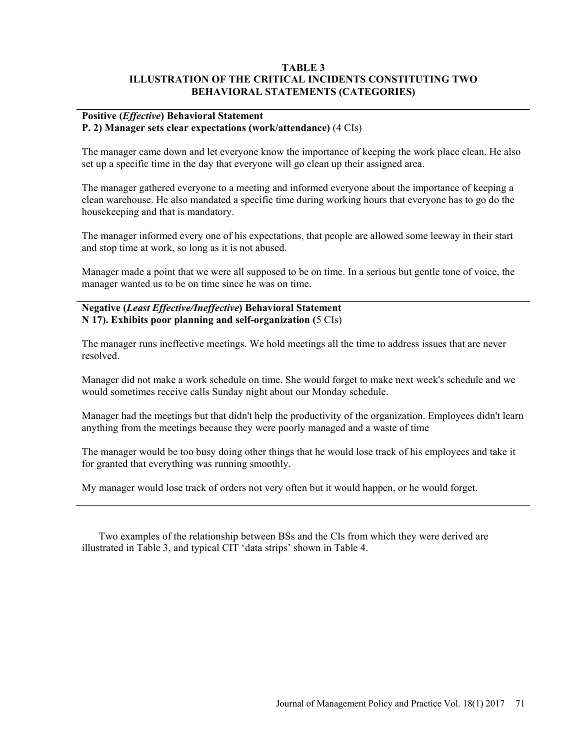#### TABLE 3 ILLUSTRATION OF THE CRITICAL INCIDENTS CONSTITUTING TWO BEHAVIORAL STATEMENTS (CATEGORIES)

#### Positive (Effective) Behavioral Statement P. 2) Manager sets clear expectations (work/attendance) (4 CIs)

The manager came down and let everyone know the importance of keeping the work place clean. He also set up a specific time in the day that everyone will go clean up their assigned area.

The manager gathered everyone to a meeting and informed everyone about the importance of keeping a clean warehouse. He also mandated a specific time during working hours that everyone has to go do the housekeeping and that is mandatory.

The manager informed every one of his expectations, that people are allowed some leeway in their start and stop time at work, so long as it is not abused.

Manager made a point that we were all supposed to be on time. In a serious but gentle tone of voice, the manager wanted us to be on time since he was on time.

#### Negative (Least Effective/Ineffective) Behavioral Statement N 17). Exhibits poor planning and self-organization (5 CIs)

The manager runs ineffective meetings. We hold meetings all the time to address issues that are never resolved.

Manager did not make a work schedule on time. She would forget to make next week's schedule and we would sometimes receive calls Sunday night about our Monday schedule.

Manager had the meetings but that didn't help the productivity of the organization. Employees didn't learn anything from the meetings because they were poorly managed and a waste of time

The manager would be too busy doing other things that he would lose track of his employees and take it for granted that everything was running smoothly.

My manager would lose track of orders not very often but it would happen, or he would forget.

Two examples of the relationship between BSs and the CIs from which they were derived are illustrated in Table 3, and typical CIT 'data strips' shown in Table 4.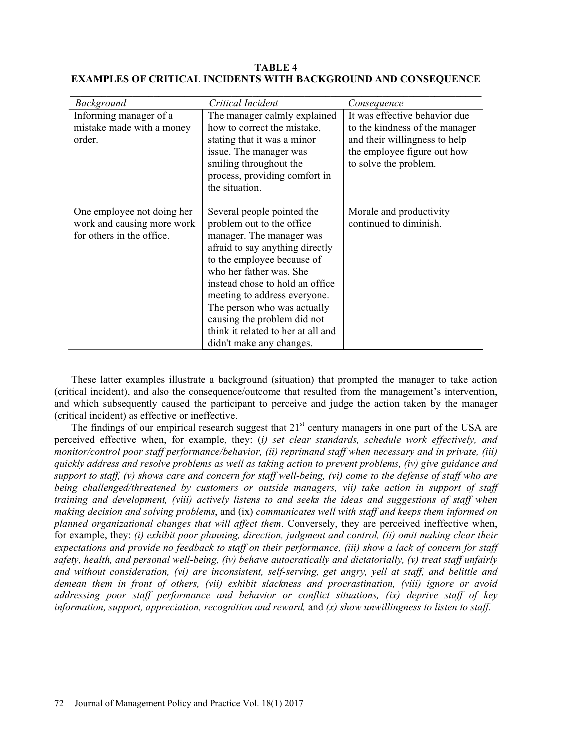| <b>Background</b>          | Critical Incident                  | Consequence                    |
|----------------------------|------------------------------------|--------------------------------|
| Informing manager of a     | The manager calmly explained       | It was effective behavior due  |
| mistake made with a money  | how to correct the mistake,        | to the kindness of the manager |
| order.                     | stating that it was a minor        | and their willingness to help  |
|                            | issue. The manager was             | the employee figure out how    |
|                            | smiling throughout the             | to solve the problem.          |
|                            | process, providing comfort in      |                                |
|                            | the situation.                     |                                |
| One employee not doing her | Several people pointed the         | Morale and productivity        |
| work and causing more work | problem out to the office          | continued to diminish.         |
| for others in the office.  | manager. The manager was           |                                |
|                            | afraid to say anything directly    |                                |
|                            | to the employee because of         |                                |
|                            | who her father was. She            |                                |
|                            | instead chose to hold an office    |                                |
|                            | meeting to address everyone.       |                                |
|                            | The person who was actually        |                                |
|                            | causing the problem did not        |                                |
|                            | think it related to her at all and |                                |
|                            | didn't make any changes.           |                                |

TABLE 4 EXAMPLES OF CRITICAL INCIDENTS WITH BACKGROUND AND CONSEQUENCE

These latter examples illustrate a background (situation) that prompted the manager to take action (critical incident), and also the consequence/outcome that resulted from the management's intervention, and which subsequently caused the participant to perceive and judge the action taken by the manager (critical incident) as effective or ineffective.

The findings of our empirical research suggest that  $21<sup>st</sup>$  century managers in one part of the USA are perceived effective when, for example, they: (i) set clear standards, schedule work effectively, and monitor/control poor staff performance/behavior, (ii) reprimand staff when necessary and in private, (iii) quickly address and resolve problems as well as taking action to prevent problems, (iv) give guidance and support to staff, (v) shows care and concern for staff well-being, (vi) come to the defense of staff who are being challenged/threatened by customers or outside managers, vii) take action in support of staff training and development, (viii) actively listens to and seeks the ideas and suggestions of staff when making decision and solving problems, and (ix) communicates well with staff and keeps them informed on planned organizational changes that will affect them. Conversely, they are perceived ineffective when, for example, they: (i) exhibit poor planning, direction, judgment and control, (ii) omit making clear their expectations and provide no feedback to staff on their performance, (iii) show a lack of concern for staff safety, health, and personal well-being, (iv) behave autocratically and dictatorially, (v) treat staff unfairly and without consideration, (vi) are inconsistent, self-serving, get angry, yell at staff, and belittle and demean them in front of others, (vii) exhibit slackness and procrastination, (viii) ignore or avoid addressing poor staff performance and behavior or conflict situations, (ix) deprive staff of key information, support, appreciation, recognition and reward, and  $(x)$  show unwillingness to listen to staff.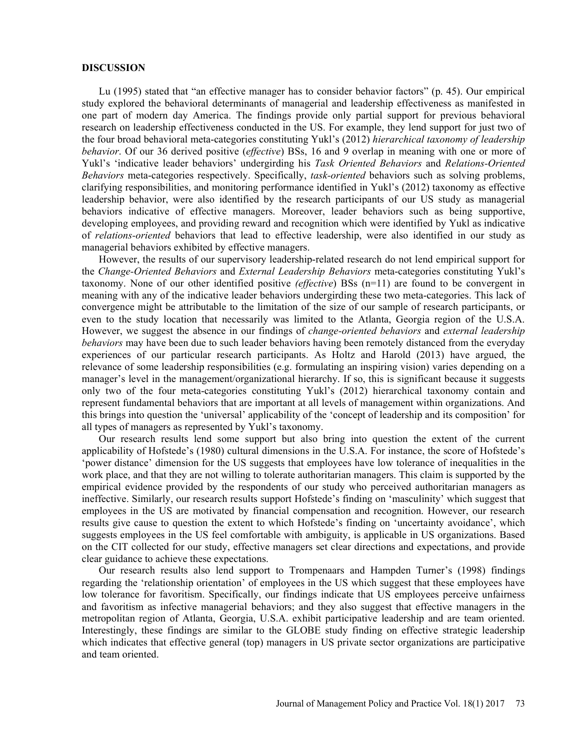#### **DISCUSSION**

Lu (1995) stated that "an effective manager has to consider behavior factors"  $(p. 45)$ . Our empirical study explored the behavioral determinants of managerial and leadership effectiveness as manifested in one part of modern day America. The findings provide only partial support for previous behavioral research on leadership effectiveness conducted in the US. For example, they lend support for just two of the four broad behavioral meta-categories constituting Yukl's (2012) hierarchical taxonomy of leadership behavior. Of our 36 derived positive (effective) BSs, 16 and 9 overlap in meaning with one or more of Yukl's 'indicative leader behaviors' undergirding his Task Oriented Behaviors and Relations-Oriented Behaviors meta-categories respectively. Specifically, task-oriented behaviors such as solving problems, clarifying responsibilities, and monitoring performance identified in Yukl's (2012) taxonomy as effective leadership behavior, were also identified by the research participants of our US study as managerial behaviors indicative of effective managers. Moreover, leader behaviors such as being supportive, developing employees, and providing reward and recognition which were identified by Yukl as indicative of relations-oriented behaviors that lead to effective leadership, were also identified in our study as managerial behaviors exhibited by effective managers.

However, the results of our supervisory leadership-related research do not lend empirical support for the Change-Oriented Behaviors and External Leadership Behaviors meta-categories constituting Yukl's taxonomy. None of our other identified positive (effective) BSs (n=11) are found to be convergent in meaning with any of the indicative leader behaviors undergirding these two meta-categories. This lack of convergence might be attributable to the limitation of the size of our sample of research participants, or even to the study location that necessarily was limited to the Atlanta, Georgia region of the U.S.A. However, we suggest the absence in our findings of *change-oriented behaviors* and *external leadership* behaviors may have been due to such leader behaviors having been remotely distanced from the everyday experiences of our particular research participants. As Holtz and Harold (2013) have argued, the relevance of some leadership responsibilities (e.g. formulating an inspiring vision) varies depending on a manager's level in the management/organizational hierarchy. If so, this is significant because it suggests only two of the four meta-categories constituting Yukl's (2012) hierarchical taxonomy contain and represent fundamental behaviors that are important at all levels of management within organizations. And this brings into question the 'universal' applicability of the 'concept of leadership and its composition' for all types of managers as represented by Yukl's taxonomy.

Our research results lend some support but also bring into question the extent of the current applicability of Hofstede's (1980) cultural dimensions in the U.S.A. For instance, the score of Hofstede's power distance' dimension for the US suggests that employees have low tolerance of inequalities in the work place, and that they are not willing to tolerate authoritarian managers. This claim is supported by the empirical evidence provided by the respondents of our study who perceived authoritarian managers as ineffective. Similarly, our research results support Hofstede's finding on 'masculinity' which suggest that employees in the US are motivated by financial compensation and recognition. However, our research results give cause to question the extent to which Hofstede's finding on 'uncertainty avoidance', which suggests employees in the US feel comfortable with ambiguity, is applicable in US organizations. Based on the CIT collected for our study, effective managers set clear directions and expectations, and provide clear guidance to achieve these expectations.

Our research results also lend support to Trompenaars and Hampden Turner's (1998) findings regarding the 'relationship orientation' of employees in the US which suggest that these employees have low tolerance for favoritism. Specifically, our findings indicate that US employees perceive unfairness and favoritism as infective managerial behaviors; and they also suggest that effective managers in the metropolitan region of Atlanta, Georgia, U.S.A. exhibit participative leadership and are team oriented. Interestingly, these findings are similar to the GLOBE study finding on effective strategic leadership which indicates that effective general (top) managers in US private sector organizations are participative and team oriented.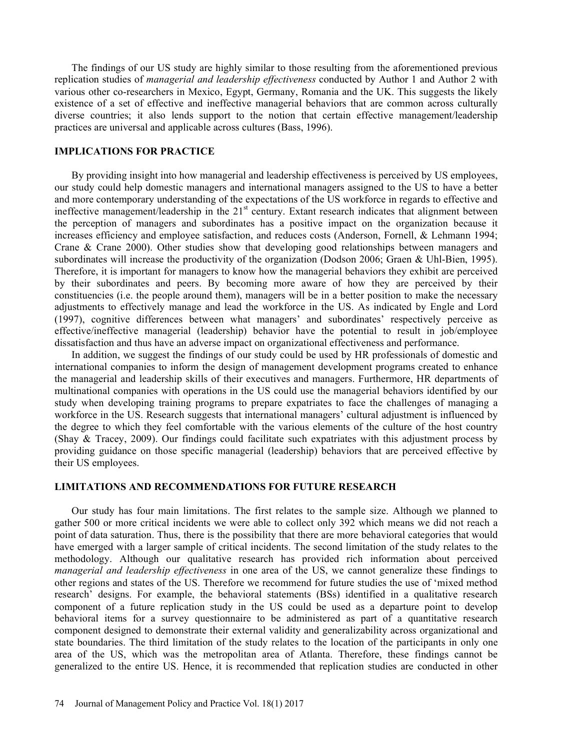The findings of our US study are highly similar to those resulting from the aforementioned previous replication studies of managerial and leadership effectiveness conducted by Author 1 and Author 2 with various other co-researchers in Mexico, Egypt, Germany, Romania and the UK. This suggests the likely existence of a set of effective and ineffective managerial behaviors that are common across culturally diverse countries; it also lends support to the notion that certain effective management/leadership practices are universal and applicable across cultures (Bass, 1996).

#### IMPLICATIONS FOR PRACTICE

By providing insight into how managerial and leadership effectiveness is perceived by US employees, our study could help domestic managers and international managers assigned to the US to have a better and more contemporary understanding of the expectations of the US workforce in regards to effective and ineffective management/leadership in the 21<sup>st</sup> century. Extant research indicates that alignment between the perception of managers and subordinates has a positive impact on the organization because it increases efficiency and employee satisfaction, and reduces costs (Anderson, Fornell, & Lehmann 1994; Crane & Crane 2000). Other studies show that developing good relationships between managers and subordinates will increase the productivity of the organization (Dodson 2006; Graen & Uhl-Bien, 1995). Therefore, it is important for managers to know how the managerial behaviors they exhibit are perceived by their subordinates and peers. By becoming more aware of how they are perceived by their constituencies (i.e. the people around them), managers will be in a better position to make the necessary adjustments to effectively manage and lead the workforce in the US. As indicated by Engle and Lord (1997), cognitive differences between what managers' and subordinates' respectively perceive as effective/ineffective managerial (leadership) behavior have the potential to result in job/employee dissatisfaction and thus have an adverse impact on organizational effectiveness and performance.

In addition, we suggest the findings of our study could be used by HR professionals of domestic and international companies to inform the design of management development programs created to enhance the managerial and leadership skills of their executives and managers. Furthermore, HR departments of multinational companies with operations in the US could use the managerial behaviors identified by our study when developing training programs to prepare expatriates to face the challenges of managing a workforce in the US. Research suggests that international managers' cultural adjustment is influenced by the degree to which they feel comfortable with the various elements of the culture of the host country (Shay & Tracey, 2009). Our findings could facilitate such expatriates with this adjustment process by providing guidance on those specific managerial (leadership) behaviors that are perceived effective by their US employees.

#### LIMITATIONS AND RECOMMENDATIONS FOR FUTURE RESEARCH

Our study has four main limitations. The first relates to the sample size. Although we planned to gather 500 or more critical incidents we were able to collect only 392 which means we did not reach a point of data saturation. Thus, there is the possibility that there are more behavioral categories that would have emerged with a larger sample of critical incidents. The second limitation of the study relates to the methodology. Although our qualitative research has provided rich information about perceived managerial and leadership effectiveness in one area of the US, we cannot generalize these findings to other regions and states of the US. Therefore we recommend for future studies the use of mixed method research' designs. For example, the behavioral statements (BSs) identified in a qualitative research component of a future replication study in the US could be used as a departure point to develop behavioral items for a survey questionnaire to be administered as part of a quantitative research component designed to demonstrate their external validity and generalizability across organizational and state boundaries. The third limitation of the study relates to the location of the participants in only one area of the US, which was the metropolitan area of Atlanta. Therefore, these findings cannot be generalized to the entire US. Hence, it is recommended that replication studies are conducted in other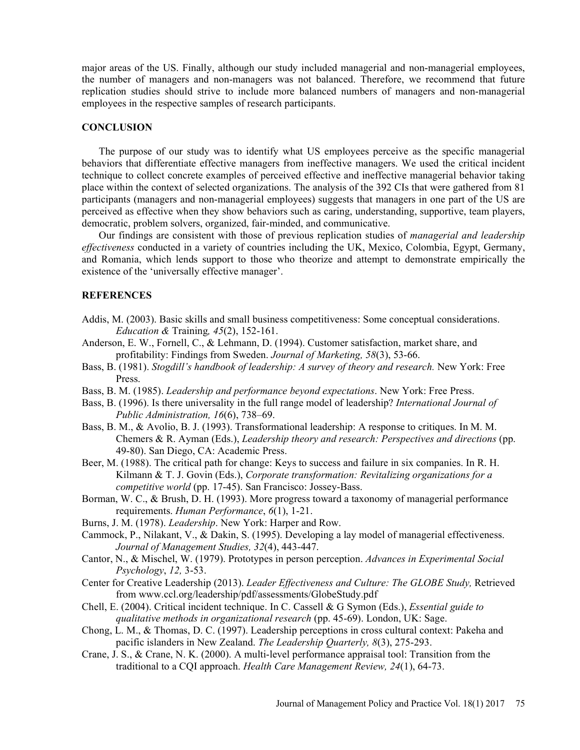major areas of the US. Finally, although our study included managerial and non-managerial employees, the number of managers and non-managers was not balanced. Therefore, we recommend that future replication studies should strive to include more balanced numbers of managers and non-managerial employees in the respective samples of research participants.

#### **CONCLUSION**

The purpose of our study was to identify what US employees perceive as the specific managerial behaviors that differentiate effective managers from ineffective managers. We used the critical incident technique to collect concrete examples of perceived effective and ineffective managerial behavior taking place within the context of selected organizations. The analysis of the 392 CIs that were gathered from 81 participants (managers and non-managerial employees) suggests that managers in one part of the US are perceived as effective when they show behaviors such as caring, understanding, supportive, team players, democratic, problem solvers, organized, fair-minded, and communicative.

Our findings are consistent with those of previous replication studies of managerial and leadership effectiveness conducted in a variety of countries including the UK, Mexico, Colombia, Egypt, Germany, and Romania, which lends support to those who theorize and attempt to demonstrate empirically the existence of the 'universally effective manager'.

#### **REFERENCES**

- Addis, M. (2003). Basic skills and small business competitiveness: Some conceptual considerations. Education & Training,  $45(2)$ , 152-161.
- Anderson, E. W., Fornell, C., & Lehmann, D. (1994). Customer satisfaction, market share, and profitability: Findings from Sweden. Journal of Marketing, 58(3), 53-66.
- Bass, B. (1981). Stogdill's handbook of leadership: A survey of theory and research. New York: Free Press.
- Bass, B. M. (1985). Leadership and performance beyond expectations. New York: Free Press.
- Bass, B. (1996). Is there universality in the full range model of leadership? International Journal of Public Administration,  $16(6)$ , 738-69.
- Bass, B. M., & Avolio, B. J. (1993). Transformational leadership: A response to critiques. In M. M. Chemers & R. Ayman (Eds.), Leadership theory and research: Perspectives and directions (pp. 49-80). San Diego, CA: Academic Press.
- Beer, M. (1988). The critical path for change: Keys to success and failure in six companies. In R. H. Kilmann & T. J. Govin (Eds.), Corporate transformation: Revitalizing organizations for a competitive world (pp. 17-45). San Francisco: Jossey-Bass.
- Borman, W. C., & Brush, D. H. (1993). More progress toward a taxonomy of managerial performance requirements. Human Performance, 6(1), 1-21.
- Burns, J. M. (1978). Leadership. New York: Harper and Row.
- Cammock, P., Nilakant, V., & Dakin, S. (1995). Developing a lay model of managerial effectiveness. Journal of Management Studies, 32(4), 443-447.
- Cantor, N., & Mischel, W. (1979). Prototypes in person perception. Advances in Experimental Social Psychology, 12, 3-53.
- Center for Creative Leadership (2013). Leader Effectiveness and Culture: The GLOBE Study, Retrieved from www.ccl.org/leadership/pdf/assessments/GlobeStudy.pdf
- Chell, E. (2004). Critical incident technique. In C. Cassell & G Symon (Eds.), Essential guide to qualitative methods in organizational research (pp. 45-69). London, UK: Sage.
- Chong, L. M., & Thomas, D. C. (1997). Leadership perceptions in cross cultural context: Pakeha and pacific islanders in New Zealand. The Leadership Quarterly, 8(3), 275-293.
- Crane, J. S., & Crane, N. K. (2000). A multi-level performance appraisal tool: Transition from the traditional to a CQI approach. Health Care Management Review, 24(1), 64-73.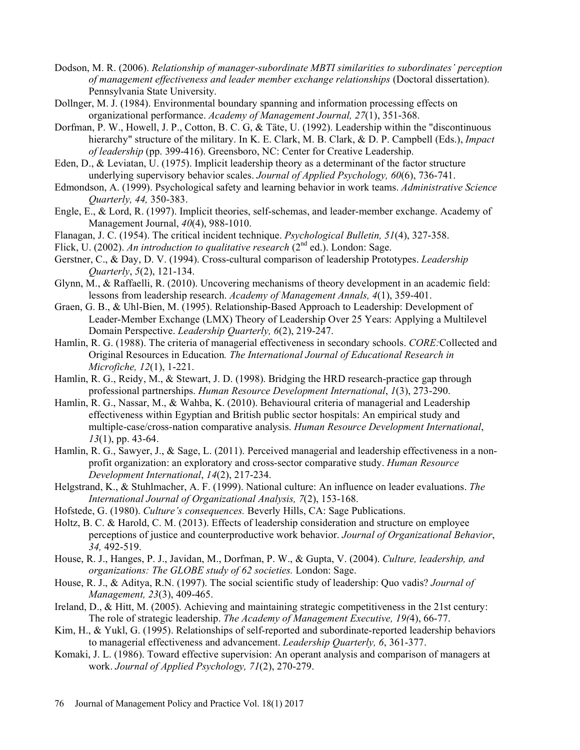- Dodson, M. R. (2006). Relationship of manager-subordinate MBTI similarities to subordinates' perception of management effectiveness and leader member exchange relationships (Doctoral dissertation). Pennsylvania State University.
- Dollnger, M. J. (1984). Environmental boundary spanning and information processing effects on organizational performance. Academy of Management Journal, 27(1), 351-368.
- Dorfman, P. W., Howell, J. P., Cotton, B. C. G, & Täte, U. (1992). Leadership within the "discontinuous hierarchy" structure of the military. In K. E. Clark, M. B. Clark, & D. P. Campbell (Eds.), *Impact* of leadership (pp. 399-416). Greensboro, NC: Center for Creative Leadership.
- Eden, D., & Leviatan, U. (1975). Implicit leadership theory as a determinant of the factor structure underlying supervisory behavior scales. Journal of Applied Psychology, 60(6), 736-741.
- Edmondson, A. (1999). Psychological safety and learning behavior in work teams. Administrative Science Quarterly, 44, 350-383.
- Engle, E., & Lord, R. (1997). Implicit theories, self-schemas, and leader-member exchange. Academy of Management Journal, 40(4), 988-1010.
- Flanagan, J. C. (1954). The critical incident technique. Psychological Bulletin, 51(4), 327-358.
- Flick, U. (2002). An introduction to qualitative research  $(2^{nd}$  ed.). London: Sage.
- Gerstner, C., & Day, D. V. (1994). Cross-cultural comparison of leadership Prototypes. *Leadership* Quarterly, 5(2), 121-134.
- Glynn, M., & Raffaelli, R. (2010). Uncovering mechanisms of theory development in an academic field: lessons from leadership research. Academy of Management Annals, 4(1), 359-401.
- Graen, G. B., & Uhl-Bien, M. (1995). Relationship-Based Approach to Leadership: Development of Leader-Member Exchange (LMX) Theory of Leadership Over 25 Years: Applying a Multilevel Domain Perspective. *Leadership Quarterly*, 6(2), 219-247.
- Hamlin, R. G. (1988). The criteria of managerial effectiveness in secondary schools. *CORE*: Collected and Original Resources in Education. The International Journal of Educational Research in Microfiche, 12(1), 1-221.
- Hamlin, R. G., Reidy, M., & Stewart, J. D. (1998). Bridging the HRD research-practice gap through professional partnerships. Human Resource Development International, 1(3), 273-290.
- Hamlin, R. G., Nassar, M., & Wahba, K. (2010). Behavioural criteria of managerial and Leadership effectiveness within Egyptian and British public sector hospitals: An empirical study and multiple-case/cross-nation comparative analysis. Human Resource Development International, 13(1), pp. 43-64.
- Hamlin, R. G., Sawyer, J., & Sage, L. (2011). Perceived managerial and leadership effectiveness in a nonprofit organization: an exploratory and cross-sector comparative study. Human Resource Development International, 14(2), 217-234.
- Helgstrand, K., & Stuhlmacher, A. F. (1999). National culture: An influence on leader evaluations. The International Journal of Organizational Analysis, 7(2), 153-168.
- Hofstede, G. (1980). Culture's consequences. Beverly Hills, CA: Sage Publications.
- Holtz, B. C. & Harold, C. M. (2013). Effects of leadership consideration and structure on employee perceptions of justice and counterproductive work behavior. Journal of Organizational Behavior, 34, 492-519.
- House, R. J., Hanges, P. J., Javidan, M., Dorfman, P. W., & Gupta, V. (2004). Culture, leadership, and organizations: The GLOBE study of 62 societies. London: Sage.
- House, R. J., & Aditya, R.N. (1997). The social scientific study of leadership: Quo vadis? *Journal of* Management, 23(3), 409-465.
- Ireland, D., & Hitt, M. (2005). Achieving and maintaining strategic competitiveness in the 21st century: The role of strategic leadership. The Academy of Management Executive, 19(4), 66-77.
- Kim, H., & Yukl, G. (1995). Relationships of self-reported and subordinate-reported leadership behaviors to managerial effectiveness and advancement. Leadership Quarterly, 6, 361-377.
- Komaki, J. L. (1986). Toward effective supervision: An operant analysis and comparison of managers at work. Journal of Applied Psychology, 71(2), 270-279.